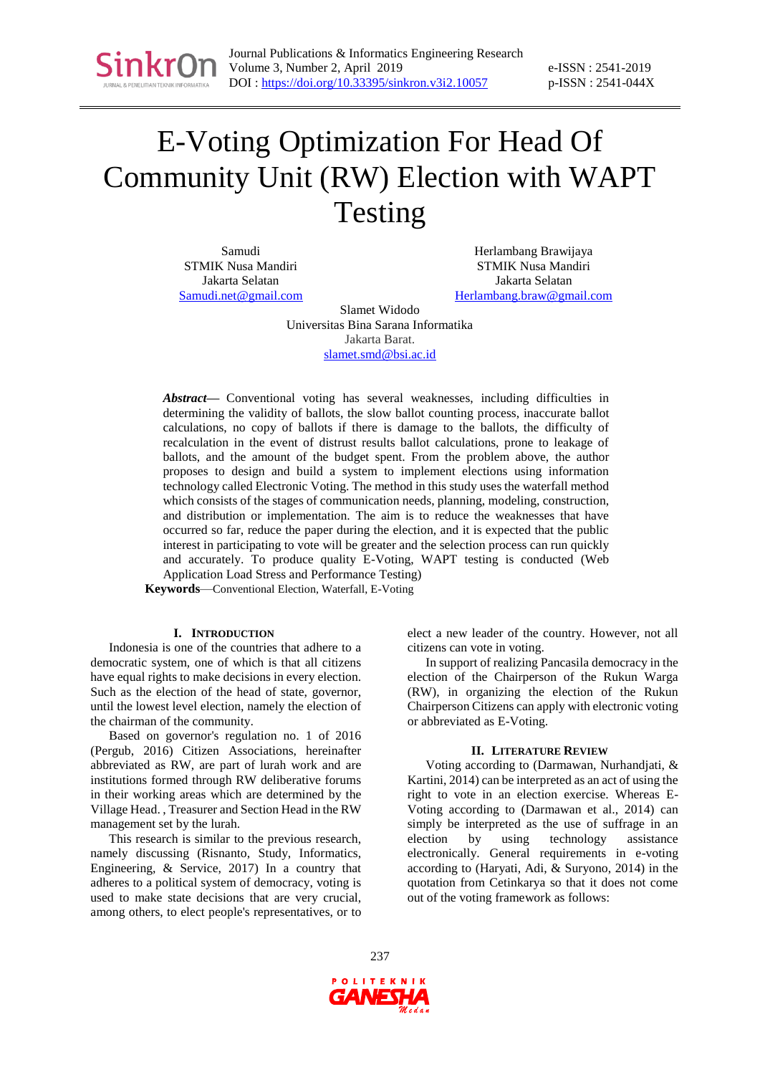

e-ISSN : 2541-2019 p-ISSN : 2541-044X

# E-Voting Optimization For Head Of Community Unit (RW) Election with WAPT Testing

Samudi STMIK Nusa Mandiri Jakarta Selatan [Samudi.net@gmail.com](mailto:Samudi.net@gmail.com)

Herlambang Brawijaya STMIK Nusa Mandiri Jakarta Selatan [Herlambang.braw@gmail.com](mailto:Herlambang.braw@gmail.com)

Slamet Widodo Universitas Bina Sarana Informatika Jakarta Barat. [slamet.smd@bsi.ac.id](mailto:slamet.smd@bsi.ac.id)

*Abstract***—** Conventional voting has several weaknesses, including difficulties in determining the validity of ballots, the slow ballot counting process, inaccurate ballot calculations, no copy of ballots if there is damage to the ballots, the difficulty of recalculation in the event of distrust results ballot calculations, prone to leakage of ballots, and the amount of the budget spent. From the problem above, the author proposes to design and build a system to implement elections using information technology called Electronic Voting. The method in this study uses the waterfall method which consists of the stages of communication needs, planning, modeling, construction, and distribution or implementation. The aim is to reduce the weaknesses that have occurred so far, reduce the paper during the election, and it is expected that the public interest in participating to vote will be greater and the selection process can run quickly and accurately. To produce quality E-Voting, WAPT testing is conducted (Web Application Load Stress and Performance Testing)

**Keywords**—Conventional Election, Waterfall, E-Voting

#### **I. INTRODUCTION**

Indonesia is one of the countries that adhere to a democratic system, one of which is that all citizens have equal rights to make decisions in every election. Such as the election of the head of state, governor, until the lowest level election, namely the election of the chairman of the community.

Based on governor's regulation no. 1 of 2016 (Pergub, 2016) Citizen Associations, hereinafter abbreviated as RW, are part of lurah work and are institutions formed through RW deliberative forums in their working areas which are determined by the Village Head. , Treasurer and Section Head in the RW management set by the lurah.

This research is similar to the previous research, namely discussing (Risnanto, Study, Informatics, Engineering, & Service, 2017) In a country that adheres to a political system of democracy, voting is used to make state decisions that are very crucial, among others, to elect people's representatives, or to elect a new leader of the country. However, not all citizens can vote in voting.

In support of realizing Pancasila democracy in the election of the Chairperson of the Rukun Warga (RW), in organizing the election of the Rukun Chairperson Citizens can apply with electronic voting or abbreviated as E-Voting.

#### **II. LITERATURE REVIEW**

Voting according to (Darmawan, Nurhandjati, & Kartini, 2014) can be interpreted as an act of using the right to vote in an election exercise. Whereas E-Voting according to (Darmawan et al., 2014) can simply be interpreted as the use of suffrage in an election by using technology assistance electronically. General requirements in e-voting according to (Haryati, Adi, & Suryono, 2014) in the quotation from Cetinkarya so that it does not come out of the voting framework as follows:

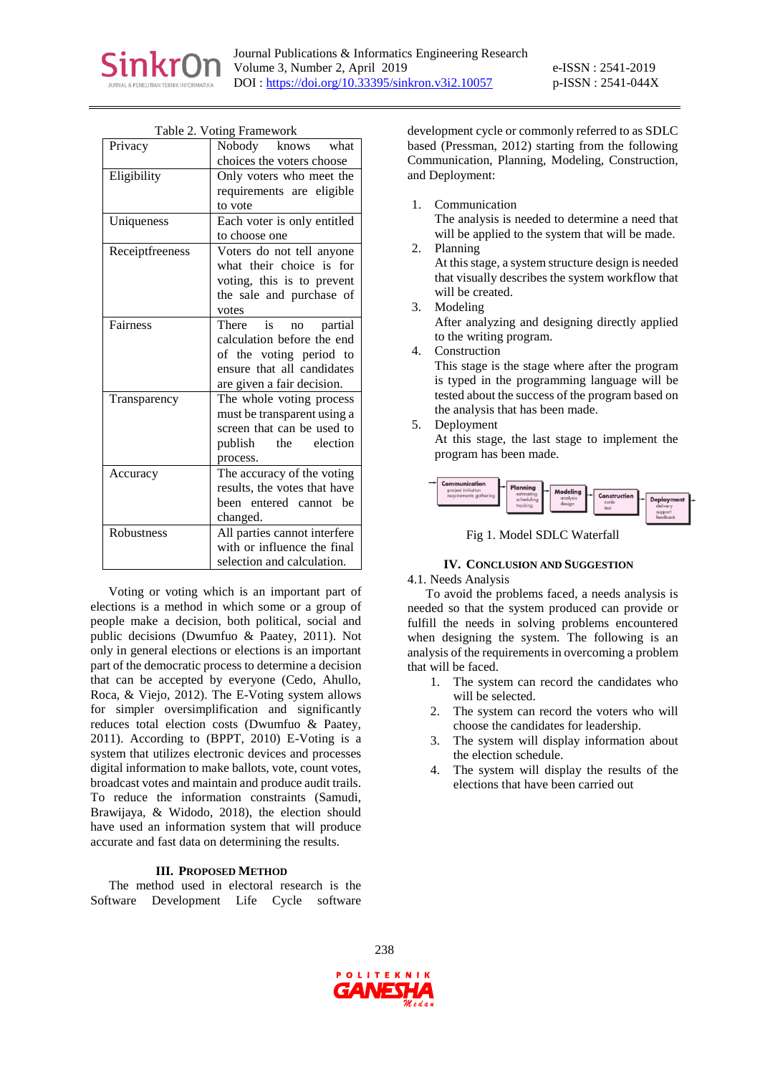

| $\mathbf{v}$ oung 1 range work |
|--------------------------------|
| Nobody knows what              |
| choices the voters choose      |
| Only voters who meet the       |
| requirements are eligible      |
| to vote                        |
| Each voter is only entitled    |
| to choose one                  |
| Voters do not tell anyone      |
| what their choice is for       |
| voting, this is to prevent     |
| the sale and purchase of       |
| votes                          |
| There is no<br>partial         |
| calculation before the end     |
| of the voting period to        |
| ensure that all candidates     |
| are given a fair decision.     |
| The whole voting process       |
| must be transparent using a    |
| screen that can be used to     |
| election<br>publish<br>the     |
| process.                       |
| The accuracy of the voting     |
| results, the votes that have   |
| been entered cannot be         |
| changed.                       |
|                                |
| All parties cannot interfere   |
| with or influence the final    |
|                                |

Table 2. Voting Framework

Voting or voting which is an important part of elections is a method in which some or a group of people make a decision, both political, social and public decisions (Dwumfuo & Paatey, 2011). Not only in general elections or elections is an important part of the democratic process to determine a decision that can be accepted by everyone (Cedo, Ahullo, Roca, & Viejo, 2012). The E-Voting system allows for simpler oversimplification and significantly reduces total election costs (Dwumfuo & Paatey, 2011). According to (BPPT, 2010) E-Voting is a system that utilizes electronic devices and processes digital information to make ballots, vote, count votes, broadcast votes and maintain and produce audit trails. To reduce the information constraints (Samudi, Brawijaya, & Widodo, 2018), the election should have used an information system that will produce accurate and fast data on determining the results.

## **III. PROPOSED METHOD**

The method used in electoral research is the Software Development Life Cycle software development cycle or commonly referred to as SDLC based (Pressman, 2012) starting from the following Communication, Planning, Modeling, Construction, and Deployment:

1. Communication

The analysis is needed to determine a need that will be applied to the system that will be made.

2. Planning

At this stage, a system structure design is needed that visually describes the system workflow that will be created.

- 3. Modeling After analyzing and designing directly applied to the writing program.
- 4. Construction

This stage is the stage where after the program is typed in the programming language will be tested about the success of the program based on the analysis that has been made.

5. Deployment

At this stage, the last stage to implement the program has been made.



Fig 1. Model SDLC Waterfall

# **IV. CONCLUSION AND SUGGESTION**

4.1. Needs Analysis

To avoid the problems faced, a needs analysis is needed so that the system produced can provide or fulfill the needs in solving problems encountered when designing the system. The following is an analysis of the requirements in overcoming a problem that will be faced.

- 1. The system can record the candidates who will be selected.
- 2. The system can record the voters who will choose the candidates for leadership.
- 3. The system will display information about the election schedule.
- 4. The system will display the results of the elections that have been carried out

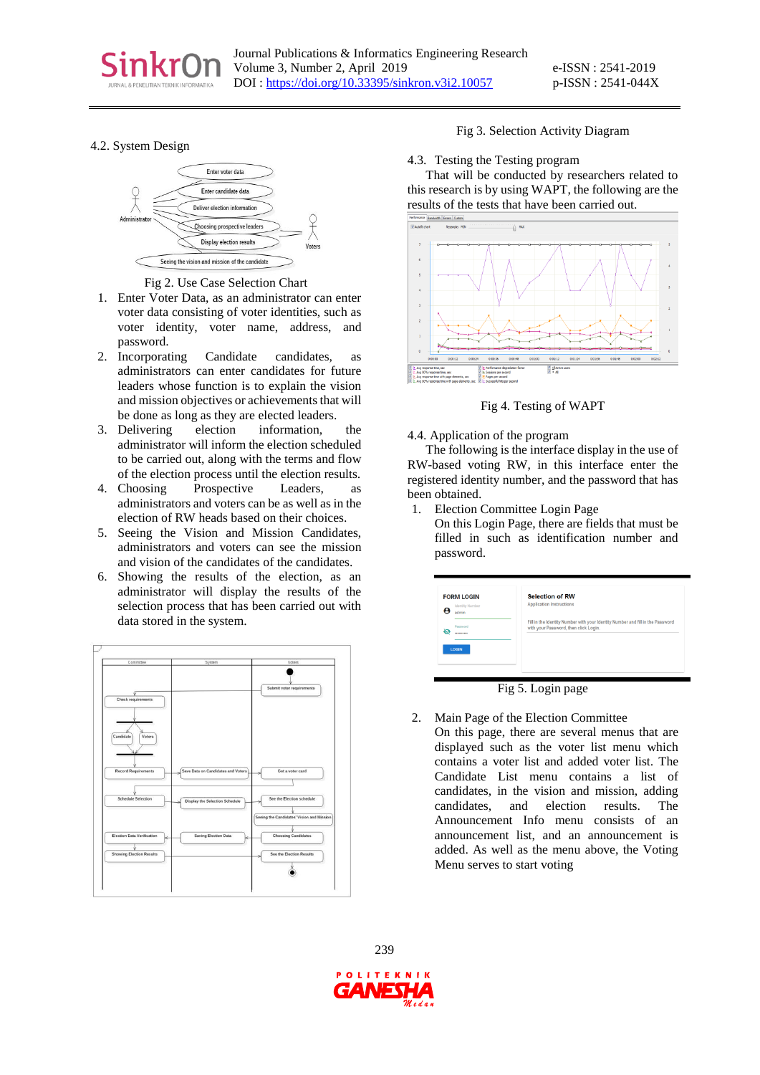

## 4.2. System Design



Fig 2. Use Case Selection Chart

- 1. Enter Voter Data, as an administrator can enter voter data consisting of voter identities, such as voter identity, voter name, address, and password.
- 2. Incorporating Candidate candidates, as administrators can enter candidates for future leaders whose function is to explain the vision and mission objectives or achievements that will be done as long as they are elected leaders.
- 3. Delivering election information, the administrator will inform the election scheduled to be carried out, along with the terms and flow of the election process until the election results.
- 4. Choosing Prospective Leaders, as administrators and voters can be as well as in the election of RW heads based on their choices.
- 5. Seeing the Vision and Mission Candidates, administrators and voters can see the mission and vision of the candidates of the candidates.
- 6. Showing the results of the election, as an administrator will display the results of the selection process that has been carried out with data stored in the system.



#### Fig 3. Selection Activity Diagram

4.3. Testing the Testing program

That will be conducted by researchers related to this research is by using WAPT, the following are the results of the tests that have been carried out.



Fig 4. Testing of WAPT

#### 4.4. Application of the program

The following is the interface display in the use of RW-based voting RW, in this interface enter the registered identity number, and the password that has been obtained.

- 1. Election Committee Login Page
	- On this Login Page, there are fields that must be filled in such as identification number and password.

| <b>FORM LOGIN</b><br><b>Identity Number</b> | <b>Selection of RW</b><br><b>Application Instructions</b>                      |
|---------------------------------------------|--------------------------------------------------------------------------------|
| admin                                       |                                                                                |
| Password                                    | Fill in the Identity Number with your Identity Number and fill in the Password |
| n<br>                                       | with your Password, then click Login.                                          |
|                                             |                                                                                |
|                                             |                                                                                |
| <b>LOGIN</b>                                |                                                                                |

Fig 5. Login page

2. Main Page of the Election Committee On this page, there are several menus that are displayed such as the voter list menu which contains a voter list and added voter list. The Candidate List menu contains a list of candidates, in the vision and mission, adding candidates, and election results. The Announcement Info menu consists of an announcement list, and an announcement is added. As well as the menu above, the Voting Menu serves to start voting

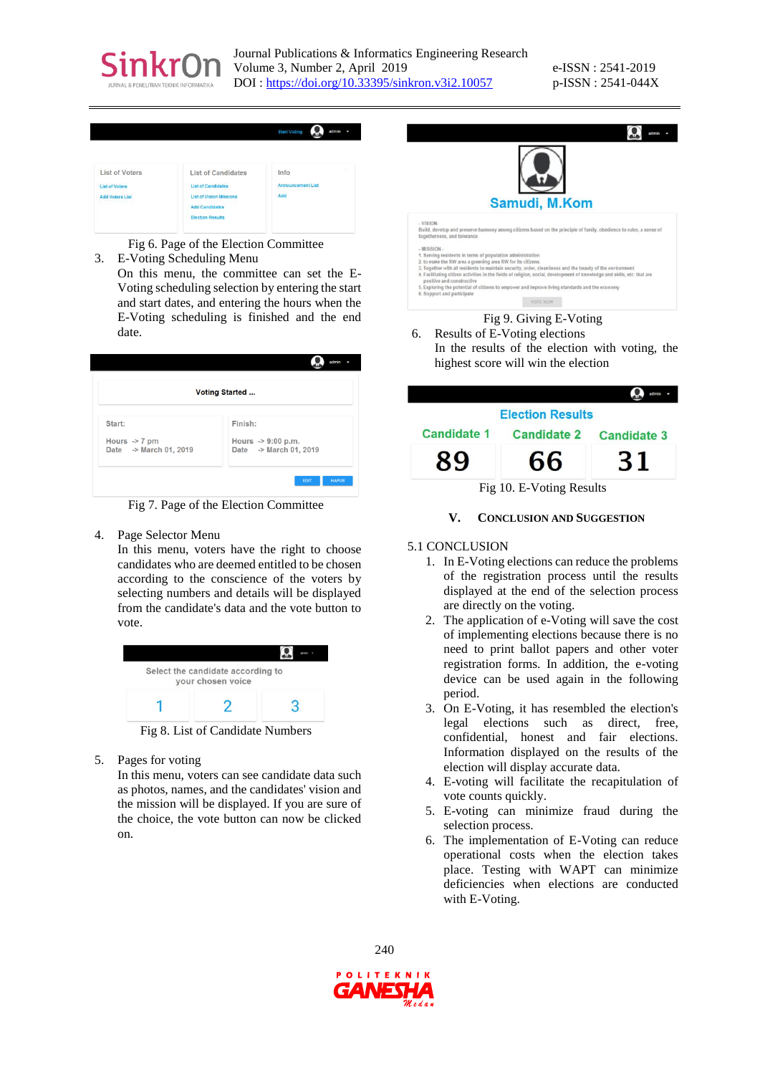

Journal Publications & Informatics Engineering Research Volume 3, Number 2, April 2019 DOI [: https://doi.org/10.33395/sinkron.v3i2.10057](https://doi.org/10.33395/sinkron.v3i2.10057)

e-ISSN : 2541-2019 p-ISSN : 2541-044X

|                                                                                           |                                                                                                                                              | <b>Start Voting</b><br>admin                 |
|-------------------------------------------------------------------------------------------|----------------------------------------------------------------------------------------------------------------------------------------------|----------------------------------------------|
| List of Voters<br><b>List of Voters</b><br><b>Add Voters List</b><br>1170 - 1280 MBC 1281 | <b>List of Candidates</b><br><b>List of Candidates</b><br><b>List of Vision Missions</b><br><b>Add Candidates</b><br><b>Election Results</b> | ÷<br>Info<br><b>Announcement List</b><br>Add |

Fig 6. Page of the Election Committee

- 3. E-Voting Scheduling Menu
- On this menu, the committee can set the E-Voting scheduling selection by entering the start and start dates, and entering the hours when the E-Voting scheduling is finished and the end date.

| <b>Voting Started </b>                             |                                                         |  |  |
|----------------------------------------------------|---------------------------------------------------------|--|--|
| Start:                                             | Finish:                                                 |  |  |
| Hours $\rightarrow$ 7 pm<br>Date -> March 01, 2019 | Hours $\rightarrow$ 9:00 p.m.<br>Date -> March 01, 2019 |  |  |

Fig 7. Page of the Election Committee

4. Page Selector Menu

In this menu, voters have the right to choose candidates who are deemed entitled to be chosen according to the conscience of the voters by selecting numbers and details will be displayed from the candidate's data and the vote button to vote.



Fig 8. List of Candidate Numbers

5. Pages for voting

In this menu, voters can see candidate data such as photos, names, and the candidates' vision and the mission will be displayed. If you are sure of the choice, the vote button can now be clicked on.



# 6. Results of E-Voting elections In the results of the election with voting, the

highest score will win the election



#### **V. CONCLUSION AND SUGGESTION**

#### 5.1 CONCLUSION

- 1. In E-Voting elections can reduce the problems of the registration process until the results displayed at the end of the selection process are directly on the voting.
- 2. The application of e-Voting will save the cost of implementing elections because there is no need to print ballot papers and other voter registration forms. In addition, the e-voting device can be used again in the following period.
- 3. On E-Voting, it has resembled the election's legal elections such as direct, free, confidential, honest and fair elections. Information displayed on the results of the election will display accurate data.
- 4. E-voting will facilitate the recapitulation of vote counts quickly.
- 5. E-voting can minimize fraud during the selection process.
- 6. The implementation of E-Voting can reduce operational costs when the election takes place. Testing with WAPT can minimize deficiencies when elections are conducted with E-Voting.

240